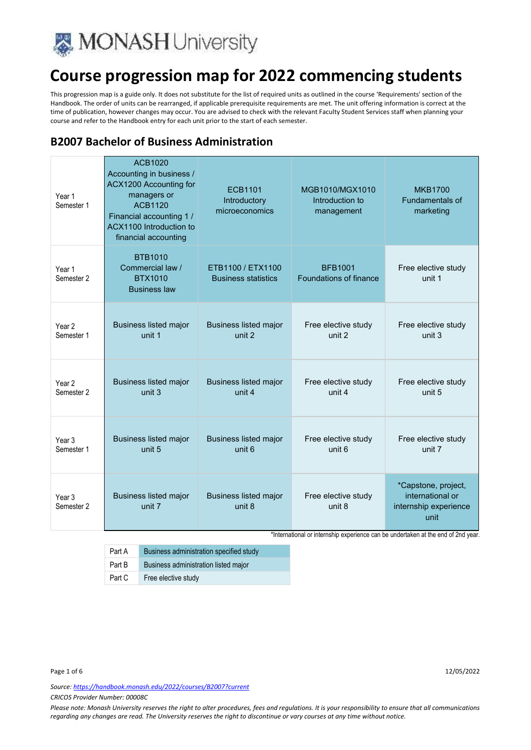

This progression map is a guide only. It does not substitute for the list of required units as outlined in the course 'Requirements' section of the Handbook. The order of units can be rearranged, if applicable prerequisite requirements are met. The unit offering information is correct at the time of publication, however changes may occur. You are advised to check with the relevant Faculty Student Services staff when planning your course and refer to the Handbook entry for each unit prior to the start of each semester.

### **B2007 Bachelor of Business Administration**

| Year 1<br>Semester 1            | ACB1020<br>Accounting in business /<br>ACX1200 Accounting for<br>managers or<br><b>ACB1120</b><br>Financial accounting 1 /<br>ACX1100 Introduction to<br>financial accounting | <b>ECB1101</b><br>Introductory<br>microeconomics | MGB1010/MGX1010<br>Introduction to<br>management | <b>MKB1700</b><br><b>Fundamentals of</b><br>marketing                    |
|---------------------------------|-------------------------------------------------------------------------------------------------------------------------------------------------------------------------------|--------------------------------------------------|--------------------------------------------------|--------------------------------------------------------------------------|
| Year 1<br>Semester 2            | <b>BTB1010</b><br>Commercial law /<br><b>BTX1010</b><br><b>Business law</b>                                                                                                   | ETB1100 / ETX1100<br><b>Business statistics</b>  | <b>BFB1001</b><br>Foundations of finance         | Free elective study<br>unit 1                                            |
| Year <sub>2</sub>               | <b>Business listed major</b>                                                                                                                                                  | <b>Business listed major</b>                     | Free elective study                              | Free elective study                                                      |
| Semester 1                      | unit 1                                                                                                                                                                        | unit 2                                           | unit 2                                           | unit 3                                                                   |
| Year 2                          | <b>Business listed major</b>                                                                                                                                                  | <b>Business listed major</b>                     | Free elective study                              | Free elective study                                                      |
| Semester <sub>2</sub>           | unit <sub>3</sub>                                                                                                                                                             | unit 4                                           | unit 4                                           | unit 5                                                                   |
| Year 3                          | <b>Business listed major</b>                                                                                                                                                  | <b>Business listed major</b>                     | Free elective study                              | Free elective study                                                      |
| Semester 1                      | unit 5                                                                                                                                                                        | unit 6                                           | unit 6                                           | unit 7                                                                   |
| Year 3<br>Semester <sub>2</sub> | <b>Business listed major</b><br>unit 7                                                                                                                                        | <b>Business listed major</b><br>unit 8           | Free elective study<br>unit 8                    | *Capstone, project,<br>international or<br>internship experience<br>unit |

\*International or internship experience can be undertaken at the end of 2nd year.

| Part A | Business administration specified study |
|--------|-----------------------------------------|
| Part B | Business administration listed major    |
| Part C | Free elective study                     |

Page 1 of 6 12/05/2022

*Source: https://handbook.monash.edu/2022/courses/B2007?current*

*CRICOS Provider Number: 00008C*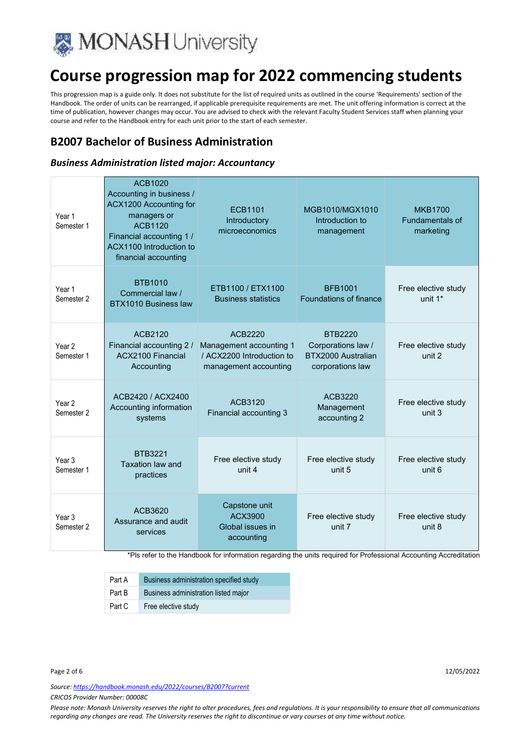

This progression map is a guide only. It does not substitute for the list of required units as outlined in the course 'Requirements' section of the Handbook. The order of units can be rearranged, if applicable prerequisite requirements are met. The unit offering information is correct at the time of publication, however changes may occur. You are advised to check with the relevant Faculty Student Services staff when planning your course and refer to the Handbook entry for each unit prior to the start of each semester.

### **B2007 Bachelor of Business Administration**

#### *Business Administration listed major: Accountancy*

| Year 1<br>Semester 1            | ACB1020<br>Accounting in business /<br>ACX1200 Accounting for<br>managers or<br>ACB1120<br>Financial accounting 1 /<br>ACX1100 Introduction to<br>financial accounting | <b>ECB1101</b><br>Introductory<br>microeconomics                                         | MGB1010/MGX1010<br>Introduction to<br>management                               | <b>MKB1700</b><br><b>Fundamentals of</b><br>marketing |
|---------------------------------|------------------------------------------------------------------------------------------------------------------------------------------------------------------------|------------------------------------------------------------------------------------------|--------------------------------------------------------------------------------|-------------------------------------------------------|
| Year 1<br>Semester <sub>2</sub> | <b>BTB1010</b><br>Commercial law /<br>BTX1010 Business law                                                                                                             | ETB1100 / ETX1100<br><b>Business statistics</b>                                          | <b>BFB1001</b><br>Foundations of finance                                       | Free elective study<br>unit 1*                        |
| Year <sub>2</sub><br>Semester 1 | ACB2120<br>Financial accounting 2 /<br><b>ACX2100 Financial</b><br>Accounting                                                                                          | ACB2220<br>Management accounting 1<br>/ ACX2200 Introduction to<br>management accounting | <b>BTB2220</b><br>Corporations law /<br>BTX2000 Australian<br>corporations law | Free elective study<br>unit 2                         |
| Year 2<br>Semester 2            | ACB2420 / ACX2400<br>Accounting information<br>systems                                                                                                                 | ACB3120<br>Financial accounting 3                                                        | ACB3220<br>Management<br>accounting 2                                          | Free elective study<br>unit 3                         |
| Year <sub>3</sub><br>Semester 1 | <b>BTB3221</b><br><b>Taxation law and</b><br>practices                                                                                                                 | Free elective study<br>unit 4                                                            | Free elective study<br>unit 5                                                  | Free elective study<br>unit 6                         |
| Year <sub>3</sub><br>Semester 2 | ACB3620<br>Assurance and audit<br>services                                                                                                                             | Capstone unit<br>ACX3900<br>Global issues in<br>accounting                               | Free elective study<br>unit 7                                                  | Free elective study<br>unit 8                         |

\*Pls refer to the Handbook for information regarding the units required for Professional Accounting Accreditation

| Part A | Business administration specified study |
|--------|-----------------------------------------|
| Part B | Business administration listed major    |
| Part C | Free elective study                     |

Page 2 of 6 12/05/2022

*Source: https://handbook.monash.edu/2022/courses/B2007?current*

*CRICOS Provider Number: 00008C*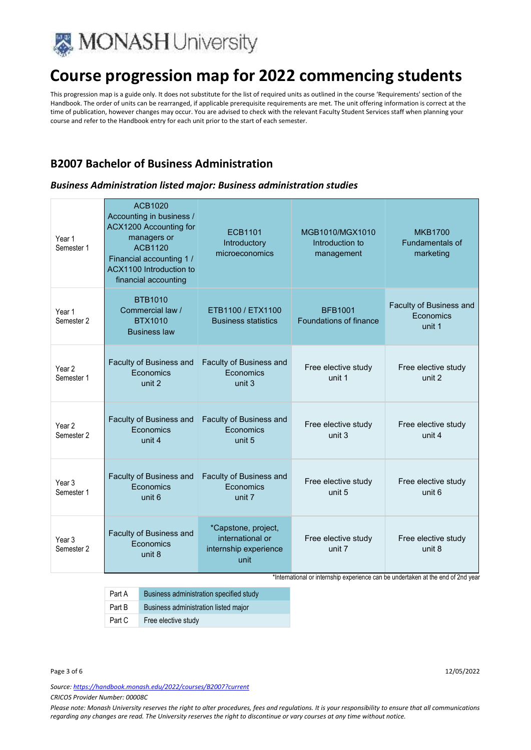

This progression map is a guide only. It does not substitute for the list of required units as outlined in the course 'Requirements' section of the Handbook. The order of units can be rearranged, if applicable prerequisite requirements are met. The unit offering information is correct at the time of publication, however changes may occur. You are advised to check with the relevant Faculty Student Services staff when planning your course and refer to the Handbook entry for each unit prior to the start of each semester.

### **B2007 Bachelor of Business Administration**

#### *Business Administration listed major: Business administration studies*

| Year 1<br>Semester 1            | <b>ACB1020</b><br>Accounting in business /<br>ACX1200 Accounting for<br>managers or<br><b>ACB1120</b><br>Financial accounting 1 /<br>ACX1100 Introduction to<br>financial accounting | <b>ECB1101</b><br>Introductory<br>microeconomics                         | MGB1010/MGX1010<br>Introduction to<br>management | <b>MKB1700</b><br><b>Fundamentals of</b><br>marketing |
|---------------------------------|--------------------------------------------------------------------------------------------------------------------------------------------------------------------------------------|--------------------------------------------------------------------------|--------------------------------------------------|-------------------------------------------------------|
| Year 1<br>Semester 2            | <b>BTB1010</b><br>Commercial law /<br><b>BTX1010</b><br><b>Business law</b>                                                                                                          | ETB1100 / ETX1100<br><b>Business statistics</b>                          | <b>BFB1001</b><br>Foundations of finance         | Faculty of Business and<br>Economics<br>unit 1        |
| Year <sub>2</sub><br>Semester 1 | Faculty of Business and<br>Economics<br>unit 2                                                                                                                                       | Faculty of Business and<br><b>F</b> conomics<br>unit 3                   | Free elective study<br>unit 1                    | Free elective study<br>unit 2                         |
| Year <sub>2</sub><br>Semester 2 | Faculty of Business and<br>Economics<br>unit 4                                                                                                                                       | Faculty of Business and<br>Economics<br>unit 5                           | Free elective study<br>unit 3                    | Free elective study<br>unit 4                         |
| Year <sub>3</sub><br>Semester 1 | Faculty of Business and<br>Economics<br>unit 6                                                                                                                                       | Faculty of Business and<br><b>F</b> conomics<br>unit 7                   | Free elective study<br>unit 5                    | Free elective study<br>unit 6                         |
| Year <sub>3</sub><br>Semester 2 | Faculty of Business and<br>Economics<br>unit 8                                                                                                                                       | *Capstone, project,<br>international or<br>internship experience<br>unit | Free elective study<br>unit 7                    | Free elective study<br>unit 8                         |

\*International or internship experience can be undertaken at the end of 2nd year

| Part A | Business administration specified study |
|--------|-----------------------------------------|
| Part B | Business administration listed major    |
| Part C | Free elective study                     |

*Source: https://handbook.monash.edu/2022/courses/B2007?current*

*CRICOS Provider Number: 00008C*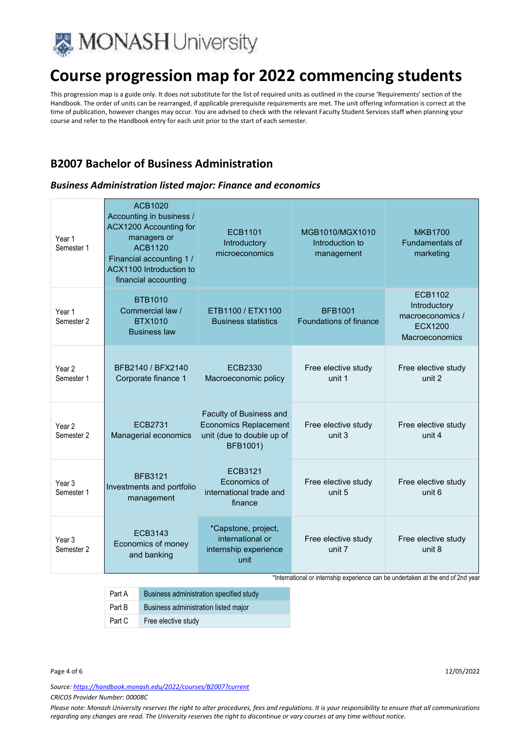

This progression map is a guide only. It does not substitute for the list of required units as outlined in the course 'Requirements' section of the Handbook. The order of units can be rearranged, if applicable prerequisite requirements are met. The unit offering information is correct at the time of publication, however changes may occur. You are advised to check with the relevant Faculty Student Services staff when planning your course and refer to the Handbook entry for each unit prior to the start of each semester.

### **B2007 Bachelor of Business Administration**

#### *Business Administration listed major: Finance and economics*

| Year 1<br>Semester 1            | ACB1020<br>Accounting in business /<br>ACX1200 Accounting for<br>managers or<br><b>ACB1120</b><br>Financial accounting 1 /<br>ACX1100 Introduction to<br>financial accounting | <b>ECB1101</b><br>Introductory<br>microeconomics                                                 | MGB1010/MGX1010<br>Introduction to<br>management | <b>MKB1700</b><br><b>Fundamentals of</b><br>marketing                           |
|---------------------------------|-------------------------------------------------------------------------------------------------------------------------------------------------------------------------------|--------------------------------------------------------------------------------------------------|--------------------------------------------------|---------------------------------------------------------------------------------|
| Year 1<br>Semester 2            | <b>BTB1010</b><br>Commercial law /<br><b>BTX1010</b><br><b>Business law</b>                                                                                                   | ETB1100 / ETX1100<br><b>Business statistics</b>                                                  | <b>BFB1001</b><br><b>Foundations of finance</b>  | ECB1102<br>Introductory<br>macroeconomics /<br><b>ECX1200</b><br>Macroeconomics |
| Year <sub>2</sub><br>Semester 1 | BFB2140 / BFX2140<br>Corporate finance 1                                                                                                                                      | ECB2330<br>Macroeconomic policy                                                                  | Free elective study<br>unit 1                    | Free elective study<br>unit 2                                                   |
| Year <sub>2</sub><br>Semester 2 | FCB2731<br>Managerial economics                                                                                                                                               | Faculty of Business and<br><b>Economics Replacement</b><br>unit (due to double up of<br>BFB1001) | Free elective study<br>unit 3                    | Free elective study<br>unit 4                                                   |
| Year <sub>3</sub><br>Semester 1 | <b>BFB3121</b><br>Investments and portfolio<br>management                                                                                                                     | FCB3121<br>Economics of<br>international trade and<br>finance                                    | Free elective study<br>unit 5                    | Free elective study<br>unit 6                                                   |
| Year <sub>3</sub><br>Semester 2 | FCB3143<br>Economics of money<br>and banking                                                                                                                                  | *Capstone, project,<br>international or<br>internship experience<br>unit                         | Free elective study<br>unit 7                    | Free elective study<br>unit 8                                                   |

\*International or internship experience can be undertaken at the end of 2nd year

| Part A | Business administration specified study |
|--------|-----------------------------------------|
| Part B | Business administration listed major    |
| Part C | Free elective study                     |

*Source: https://handbook.monash.edu/2022/courses/B2007?current*

*CRICOS Provider Number: 00008C*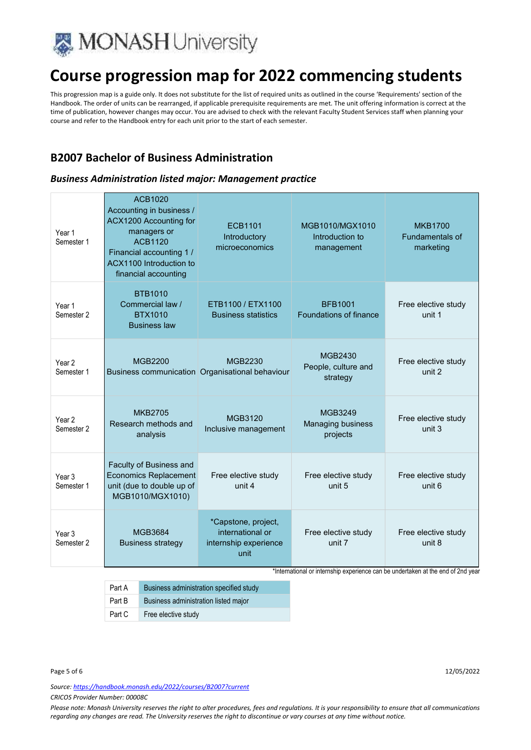

This progression map is a guide only. It does not substitute for the list of required units as outlined in the course 'Requirements' section of the Handbook. The order of units can be rearranged, if applicable prerequisite requirements are met. The unit offering information is correct at the time of publication, however changes may occur. You are advised to check with the relevant Faculty Student Services staff when planning your course and refer to the Handbook entry for each unit prior to the start of each semester.

#### **B2007 Bachelor of Business Administration**

#### *Business Administration listed major: Management practice*

| Year 1<br>Semester 1            | ACB1020<br>Accounting in business /<br>ACX1200 Accounting for<br>managers or<br><b>ACB1120</b><br>Financial accounting 1 /<br>ACX1100 Introduction to<br>financial accounting | <b>ECB1101</b><br>Introductory<br>microeconomics                         | MGB1010/MGX1010<br>Introduction to<br>management | <b>MKB1700</b><br>Fundamentals of<br>marketing |
|---------------------------------|-------------------------------------------------------------------------------------------------------------------------------------------------------------------------------|--------------------------------------------------------------------------|--------------------------------------------------|------------------------------------------------|
| Year 1<br>Semester <sub>2</sub> | <b>BTB1010</b><br>Commercial law /<br><b>BTX1010</b><br><b>Business law</b>                                                                                                   | ETB1100 / ETX1100<br><b>Business statistics</b>                          | <b>BFB1001</b><br>Foundations of finance         | Free elective study<br>unit 1                  |
| Year <sub>2</sub><br>Semester 1 | <b>MGB2200</b>                                                                                                                                                                | <b>MGB2230</b><br>Business communication Organisational behaviour        | MGB2430<br>People, culture and<br>strategy       | Free elective study<br>unit 2                  |
| Year <sub>2</sub><br>Semester 2 | <b>MKB2705</b><br>Research methods and<br>analysis                                                                                                                            | <b>MGB3120</b><br>Inclusive management                                   | MGB3249<br><b>Managing business</b><br>projects  | Free elective study<br>unit 3                  |
| Year <sub>3</sub><br>Semester 1 | Faculty of Business and<br><b>Economics Replacement</b><br>unit (due to double up of<br>MGB1010/MGX1010)                                                                      | Free elective study<br>unit 4                                            | Free elective study<br>unit 5                    | Free elective study<br>unit 6                  |
| Year <sub>3</sub><br>Semester 2 | MGB3684<br><b>Business strategy</b>                                                                                                                                           | *Capstone, project,<br>international or<br>internship experience<br>unit | Free elective study<br>unit 7                    | Free elective study<br>unit 8                  |

\*International or internship experience can be undertaken at the end of 2nd year

| Part A | Business administration specified study |
|--------|-----------------------------------------|
| Part B | Business administration listed major    |
| Part C | Free elective study                     |

*Source: https://handbook.monash.edu/2022/courses/B2007?current*

*CRICOS Provider Number: 00008C*